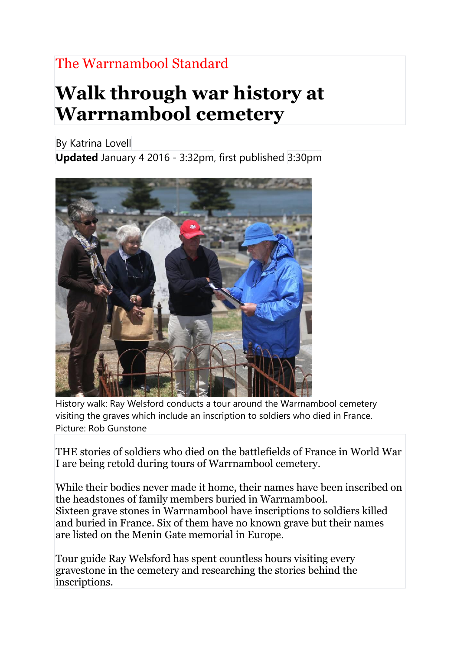## The Warrnambool Standard

## **Walk through war history at Warrnambool cemetery**

By Katrina Lovell

**Updated** January 4 2016 - 3:32pm, first published 3:30pm



History walk: Ray Welsford conducts a tour around the Warrnambool cemetery visiting the graves which include an inscription to soldiers who died in France. Picture: Rob Gunstone

THE stories of soldiers who died on the battlefields of France in World War I are being retold during tours of Warrnambool cemetery.

While their bodies never made it home, their names have been inscribed on the headstones of family members buried in Warrnambool. Sixteen grave stones in Warrnambool have inscriptions to soldiers killed and buried in France. Six of them have no known grave but their names are listed on the Menin Gate memorial in Europe.

Tour guide Ray Welsford has spent countless hours visiting every gravestone in the cemetery and researching the stories behind the inscriptions.